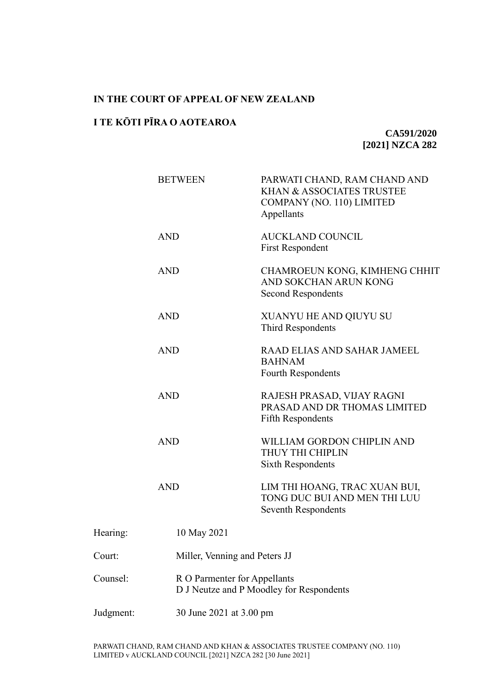# **IN THE COURT OF APPEAL OF NEW ZEALAND**

# **I TE KŌTI PĪRA O AOTEAROA**

**CA591/2020 [2021] NZCA 282**

|           | <b>BETWEEN</b> | PARWATI CHAND, RAM CHAND AND<br>KHAN & ASSOCIATES TRUSTEE<br>COMPANY (NO. 110) LIMITED<br>Appellants |  |  |
|-----------|----------------|------------------------------------------------------------------------------------------------------|--|--|
|           | <b>AND</b>     | <b>AUCKLAND COUNCIL</b><br><b>First Respondent</b>                                                   |  |  |
|           | <b>AND</b>     | CHAMROEUN KONG, KIMHENG CHHIT<br>AND SOKCHAN ARUN KONG<br><b>Second Respondents</b>                  |  |  |
|           | <b>AND</b>     | XUANYU HE AND QIUYU SU<br>Third Respondents                                                          |  |  |
|           | <b>AND</b>     | RAAD ELIAS AND SAHAR JAMEEL<br><b>BAHNAM</b><br><b>Fourth Respondents</b>                            |  |  |
|           | <b>AND</b>     | RAJESH PRASAD, VIJAY RAGNI<br>PRASAD AND DR THOMAS LIMITED<br><b>Fifth Respondents</b>               |  |  |
|           | <b>AND</b>     | WILLIAM GORDON CHIPLIN AND<br>THUY THI CHIPLIN<br><b>Sixth Respondents</b>                           |  |  |
|           | <b>AND</b>     | LIM THI HOANG, TRAC XUAN BUI,<br>TONG DUC BUI AND MEN THI LUU<br><b>Seventh Respondents</b>          |  |  |
| Hearing:  | 10 May 2021    |                                                                                                      |  |  |
| Court:    |                | Miller, Venning and Peters JJ                                                                        |  |  |
| Counsel:  |                | R O Parmenter for Appellants<br>D J Neutze and P Moodley for Respondents                             |  |  |
| Judgment: |                | 30 June 2021 at 3.00 pm                                                                              |  |  |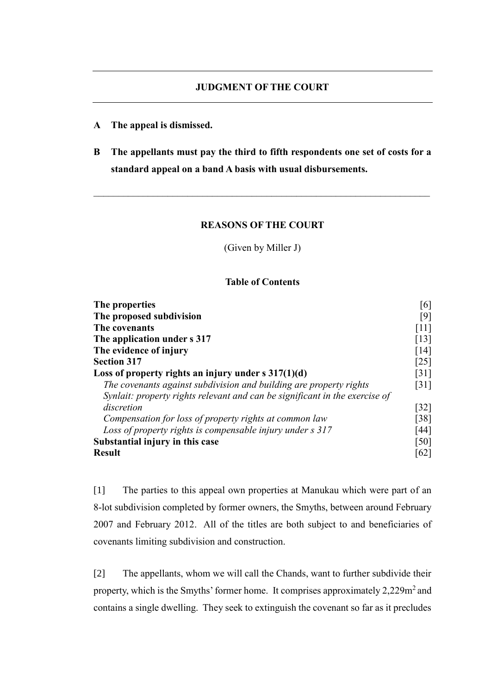## **JUDGMENT OF THE COURT**

- **A The appeal is dismissed.**
- **B The appellants must pay the third to fifth respondents one set of costs for a standard appeal on a band A basis with usual disbursements.**

 $\mathcal{L}_\mathcal{L} = \mathcal{L}_\mathcal{L} = \mathcal{L}_\mathcal{L} = \mathcal{L}_\mathcal{L} = \mathcal{L}_\mathcal{L} = \mathcal{L}_\mathcal{L} = \mathcal{L}_\mathcal{L} = \mathcal{L}_\mathcal{L} = \mathcal{L}_\mathcal{L} = \mathcal{L}_\mathcal{L} = \mathcal{L}_\mathcal{L} = \mathcal{L}_\mathcal{L} = \mathcal{L}_\mathcal{L} = \mathcal{L}_\mathcal{L} = \mathcal{L}_\mathcal{L} = \mathcal{L}_\mathcal{L} = \mathcal{L}_\mathcal{L}$ 

#### **REASONS OF THE COURT**

(Given by Miller J)

## **Table of Contents**

| The properties                                                              | [6]                |
|-----------------------------------------------------------------------------|--------------------|
| The proposed subdivision                                                    | [9]                |
| The covenants                                                               | $[11]$             |
| The application under s 317                                                 | $\lceil 13 \rceil$ |
| The evidence of injury                                                      | $\lceil 14 \rceil$ |
| <b>Section 317</b>                                                          | $\lceil 25 \rceil$ |
| Loss of property rights an injury under $s \frac{317(1)}{d}$                |                    |
| The covenants against subdivision and building are property rights          | $\lceil 31 \rceil$ |
| Synlait: property rights relevant and can be significant in the exercise of |                    |
| discretion                                                                  | $\lceil 32 \rceil$ |
| Compensation for loss of property rights at common law                      | $\lceil 38 \rceil$ |
| Loss of property rights is compensable injury under s 317                   | [44]               |
| Substantial injury in this case                                             |                    |
| <b>Result</b>                                                               | [62]               |

[1] The parties to this appeal own properties at Manukau which were part of an 8-lot subdivision completed by former owners, the Smyths, between around February 2007 and February 2012. All of the titles are both subject to and beneficiaries of covenants limiting subdivision and construction.

[2] The appellants, whom we will call the Chands, want to further subdivide their property, which is the Smyths' former home. It comprises approximately 2,229m<sup>2</sup> and contains a single dwelling. They seek to extinguish the covenant so far as it precludes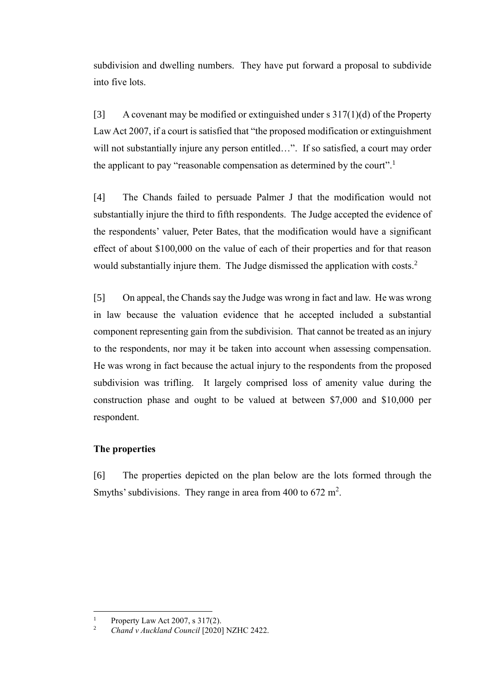subdivision and dwelling numbers. They have put forward a proposal to subdivide into five lots.

[3] A covenant may be modified or extinguished under s  $317(1)(d)$  of the Property Law Act 2007, if a court is satisfied that "the proposed modification or extinguishment will not substantially injure any person entitled...". If so satisfied, a court may order the applicant to pay "reasonable compensation as determined by the court".<sup>1</sup>

[4] The Chands failed to persuade Palmer J that the modification would not substantially injure the third to fifth respondents. The Judge accepted the evidence of the respondents' valuer, Peter Bates, that the modification would have a significant effect of about \$100,000 on the value of each of their properties and for that reason would substantially injure them. The Judge dismissed the application with costs.<sup>2</sup>

[5] On appeal, the Chands say the Judge was wrong in fact and law. He was wrong in law because the valuation evidence that he accepted included a substantial component representing gain from the subdivision. That cannot be treated as an injury to the respondents, nor may it be taken into account when assessing compensation. He was wrong in fact because the actual injury to the respondents from the proposed subdivision was trifling. It largely comprised loss of amenity value during the construction phase and ought to be valued at between \$7,000 and \$10,000 per respondent.

## **The properties**

 $\overline{a}$ 

<span id="page-2-0"></span>[6] The properties depicted on the plan below are the lots formed through the Smyths' subdivisions. They range in area from 400 to  $672 \text{ m}^2$ .

 $\frac{1}{2}$  Property Law Act 2007, s 317(2).

<sup>2</sup> *Chand v Auckland Council* [2020] NZHC 2422.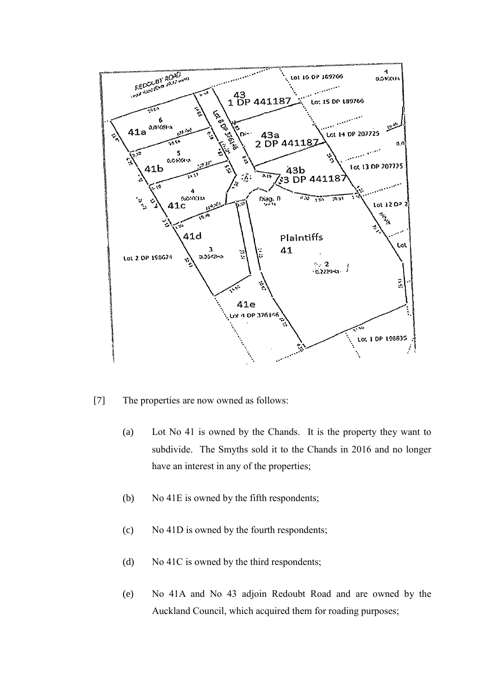

[7] The properties are now owned as follows:

- (a) Lot No 41 is owned by the Chands. It is the property they want to subdivide. The Smyths sold it to the Chands in 2016 and no longer have an interest in any of the properties;
- (b) No 41E is owned by the fifth respondents;
- (c) No 41D is owned by the fourth respondents;
- (d) No 41C is owned by the third respondents;
- (e) No 41A and No 43 adjoin Redoubt Road and are owned by the Auckland Council, which acquired them for roading purposes;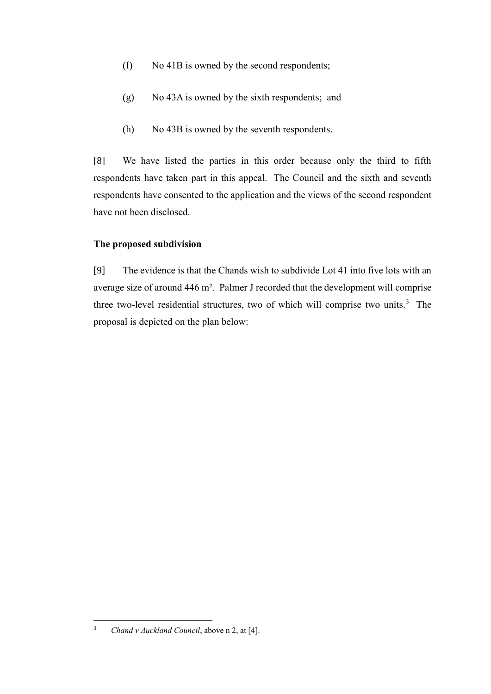- (f) No 41B is owned by the second respondents;
- (g) No 43A is owned by the sixth respondents; and
- (h) No 43B is owned by the seventh respondents.

[8] We have listed the parties in this order because only the third to fifth respondents have taken part in this appeal. The Council and the sixth and seventh respondents have consented to the application and the views of the second respondent have not been disclosed.

# **The proposed subdivision**

<span id="page-4-0"></span>[9] The evidence is that the Chands wish to subdivide Lot 41 into five lots with an average size of around 446 m². Palmer J recorded that the development will comprise three two-level residential structures, two of which will comprise two units.<sup>3</sup> The proposal is depicted on the plan below:

 $\overline{3}$ *Chand v Auckland Council*, above n 2, at [4].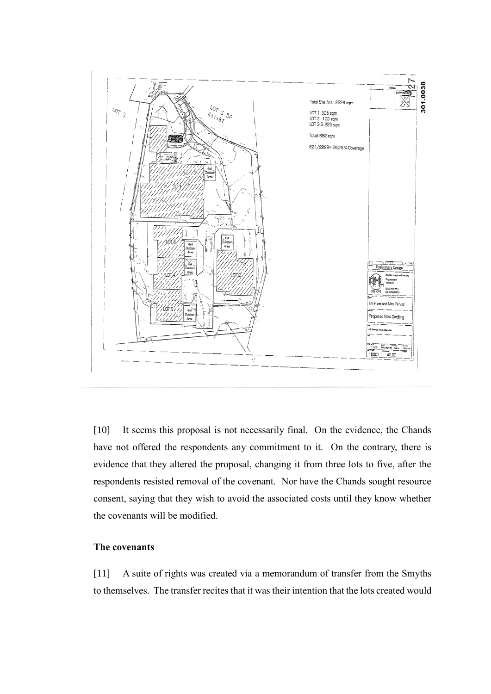

[10] It seems this proposal is not necessarily final. On the evidence, the Chands have not offered the respondents any commitment to it. On the contrary, there is evidence that they altered the proposal, changing it from three lots to five, after the respondents resisted removal of the covenant. Nor have the Chands sought resource consent, saying that they wish to avoid the associated costs until they know whether the covenants will be modified.

## **The covenants**

<span id="page-5-0"></span>[11] A suite of rights was created via a memorandum of transfer from the Smyths to themselves. The transfer recites that it was their intention that the lots created would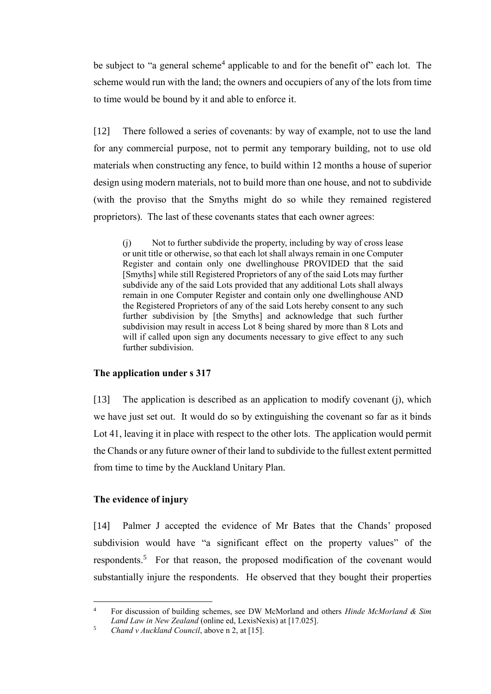be subject to "a general scheme<sup>4</sup> applicable to and for the benefit of" each lot. The scheme would run with the land; the owners and occupiers of any of the lots from time to time would be bound by it and able to enforce it.

[12] There followed a series of covenants: by way of example, not to use the land for any commercial purpose, not to permit any temporary building, not to use old materials when constructing any fence, to build within 12 months a house of superior design using modern materials, not to build more than one house, and not to subdivide (with the proviso that the Smyths might do so while they remained registered proprietors). The last of these covenants states that each owner agrees:

(j) Not to further subdivide the property, including by way of cross lease or unit title or otherwise, so that each lot shall always remain in one Computer Register and contain only one dwellinghouse PROVIDED that the said [Smyths] while still Registered Proprietors of any of the said Lots may further subdivide any of the said Lots provided that any additional Lots shall always remain in one Computer Register and contain only one dwellinghouse AND the Registered Proprietors of any of the said Lots hereby consent to any such further subdivision by [the Smyths] and acknowledge that such further subdivision may result in access Lot 8 being shared by more than 8 Lots and will if called upon sign any documents necessary to give effect to any such further subdivision.

#### **The application under s 317**

<span id="page-6-0"></span>[13] The application is described as an application to modify covenant (j), which we have just set out. It would do so by extinguishing the covenant so far as it binds Lot 41, leaving it in place with respect to the other lots. The application would permit the Chands or any future owner of their land to subdivide to the fullest extent permitted from time to time by the Auckland Unitary Plan.

### **The evidence of injury**

 $\overline{a}$ 

<span id="page-6-1"></span>[14] Palmer J accepted the evidence of Mr Bates that the Chands' proposed subdivision would have "a significant effect on the property values" of the respondents.<sup>5</sup> For that reason, the proposed modification of the covenant would substantially injure the respondents. He observed that they bought their properties

<sup>4</sup> For discussion of building schemes, see DW McMorland and others *Hinde McMorland & Sim Land Law in New Zealand* (online ed, LexisNexis) at [17.025].

<sup>5</sup> *Chand v Auckland Council*, above n 2, at [15].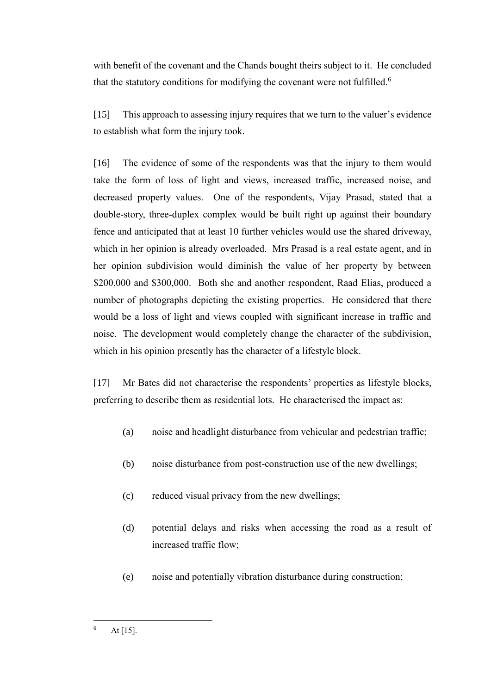with benefit of the covenant and the Chands bought theirs subject to it. He concluded that the statutory conditions for modifying the covenant were not fulfilled.<sup>6</sup>

[15] This approach to assessing injury requires that we turn to the valuer's evidence to establish what form the injury took.

[16] The evidence of some of the respondents was that the injury to them would take the form of loss of light and views, increased traffic, increased noise, and decreased property values. One of the respondents, Vijay Prasad, stated that a double-story, three-duplex complex would be built right up against their boundary fence and anticipated that at least 10 further vehicles would use the shared driveway, which in her opinion is already overloaded. Mrs Prasad is a real estate agent, and in her opinion subdivision would diminish the value of her property by between \$200,000 and \$300,000. Both she and another respondent, Raad Elias, produced a number of photographs depicting the existing properties. He considered that there would be a loss of light and views coupled with significant increase in traffic and noise. The development would completely change the character of the subdivision, which in his opinion presently has the character of a lifestyle block.

[17] Mr Bates did not characterise the respondents' properties as lifestyle blocks, preferring to describe them as residential lots. He characterised the impact as:

- (a) noise and headlight disturbance from vehicular and pedestrian traffic;
- (b) noise disturbance from post-construction use of the new dwellings;
- (c) reduced visual privacy from the new dwellings;
- (d) potential delays and risks when accessing the road as a result of increased traffic flow;
- (e) noise and potentially vibration disturbance during construction;

 $\overline{a}$  $^{6}$  At [15].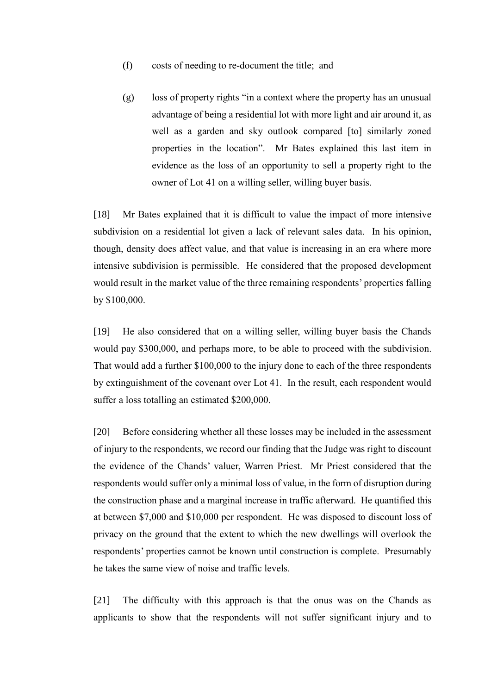- (f) costs of needing to re-document the title; and
- (g) loss of property rights "in a context where the property has an unusual advantage of being a residential lot with more light and air around it, as well as a garden and sky outlook compared [to] similarly zoned properties in the location". Mr Bates explained this last item in evidence as the loss of an opportunity to sell a property right to the owner of Lot 41 on a willing seller, willing buyer basis.

[18] Mr Bates explained that it is difficult to value the impact of more intensive subdivision on a residential lot given a lack of relevant sales data. In his opinion, though, density does affect value, and that value is increasing in an era where more intensive subdivision is permissible. He considered that the proposed development would result in the market value of the three remaining respondents' properties falling by \$100,000.

[19] He also considered that on a willing seller, willing buyer basis the Chands would pay \$300,000, and perhaps more, to be able to proceed with the subdivision. That would add a further \$100,000 to the injury done to each of the three respondents by extinguishment of the covenant over Lot 41. In the result, each respondent would suffer a loss totalling an estimated \$200,000.

[20] Before considering whether all these losses may be included in the assessment of injury to the respondents, we record our finding that the Judge was right to discount the evidence of the Chands' valuer, Warren Priest. Mr Priest considered that the respondents would suffer only a minimal loss of value, in the form of disruption during the construction phase and a marginal increase in traffic afterward. He quantified this at between \$7,000 and \$10,000 per respondent. He was disposed to discount loss of privacy on the ground that the extent to which the new dwellings will overlook the respondents' properties cannot be known until construction is complete. Presumably he takes the same view of noise and traffic levels.

[21] The difficulty with this approach is that the onus was on the Chands as applicants to show that the respondents will not suffer significant injury and to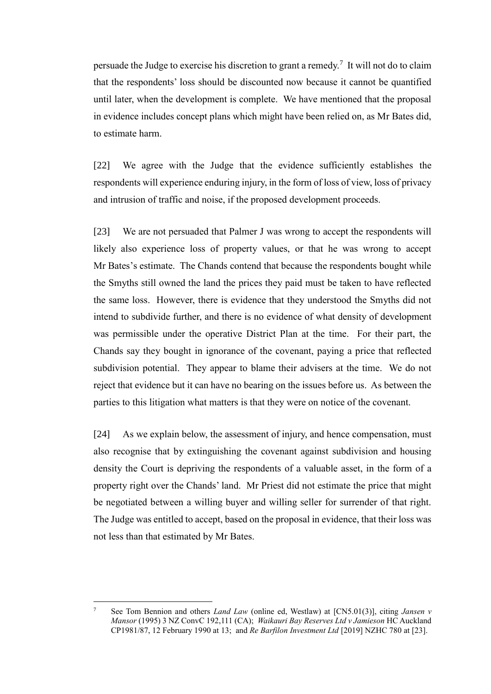persuade the Judge to exercise his discretion to grant a remedy.<sup>7</sup> It will not do to claim that the respondents' loss should be discounted now because it cannot be quantified until later, when the development is complete. We have mentioned that the proposal in evidence includes concept plans which might have been relied on, as Mr Bates did, to estimate harm.

[22] We agree with the Judge that the evidence sufficiently establishes the respondents will experience enduring injury, in the form of loss of view, loss of privacy and intrusion of traffic and noise, if the proposed development proceeds.

[23] We are not persuaded that Palmer J was wrong to accept the respondents will likely also experience loss of property values, or that he was wrong to accept Mr Bates's estimate. The Chands contend that because the respondents bought while the Smyths still owned the land the prices they paid must be taken to have reflected the same loss. However, there is evidence that they understood the Smyths did not intend to subdivide further, and there is no evidence of what density of development was permissible under the operative District Plan at the time. For their part, the Chands say they bought in ignorance of the covenant, paying a price that reflected subdivision potential. They appear to blame their advisers at the time. We do not reject that evidence but it can have no bearing on the issues before us. As between the parties to this litigation what matters is that they were on notice of the covenant.

[24] As we explain below, the assessment of injury, and hence compensation, must also recognise that by extinguishing the covenant against subdivision and housing density the Court is depriving the respondents of a valuable asset, in the form of a property right over the Chands' land. Mr Priest did not estimate the price that might be negotiated between a willing buyer and willing seller for surrender of that right. The Judge was entitled to accept, based on the proposal in evidence, that their loss was not less than that estimated by Mr Bates.

<sup>7</sup> See Tom Bennion and others *Land Law* (online ed, Westlaw) at [CN5.01(3)], citing *Jansen v Mansor* (1995) 3 NZ ConvC 192,111 (CA); *Waikauri Bay Reserves Ltd v Jamieson* HC Auckland CP1981/87, 12 February 1990 at 13; and *Re Barfilon Investment Ltd* [2019] NZHC 780 at [23].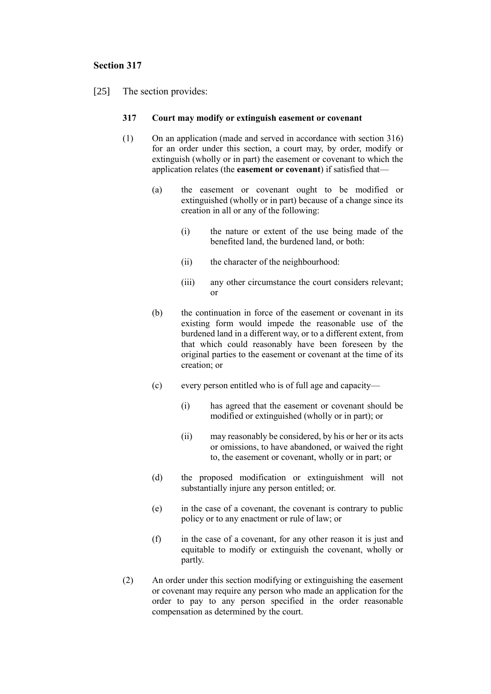### **Section 317**

<span id="page-10-0"></span>[25] The section provides:

#### **317 Court may modify or extinguish easement or covenant**

- (1) On an application (made and served in accordance with section 316) for an order under this section, a court may, by order, modify or extinguish (wholly or in part) the easement or covenant to which the application relates (the **easement or covenant**) if satisfied that—
	- (a) the easement or covenant ought to be modified or extinguished (wholly or in part) because of a change since its creation in all or any of the following:
		- (i) the nature or extent of the use being made of the benefited land, the burdened land, or both:
		- (ii) the character of the neighbourhood:
		- (iii) any other circumstance the court considers relevant; or
	- (b) the continuation in force of the easement or covenant in its existing form would impede the reasonable use of the burdened land in a different way, or to a different extent, from that which could reasonably have been foreseen by the original parties to the easement or covenant at the time of its creation; or
	- (c) every person entitled who is of full age and capacity—
		- (i) has agreed that the easement or covenant should be modified or extinguished (wholly or in part); or
		- (ii) may reasonably be considered, by his or her or its acts or omissions, to have abandoned, or waived the right to, the easement or covenant, wholly or in part; or
	- (d) the proposed modification or extinguishment will not substantially injure any person entitled; or.
	- (e) in the case of a covenant, the covenant is contrary to public policy or to any enactment or rule of law; or
	- (f) in the case of a covenant, for any other reason it is just and equitable to modify or extinguish the covenant, wholly or partly.
- (2) An order under this section modifying or extinguishing the easement or covenant may require any person who made an application for the order to pay to any person specified in the order reasonable compensation as determined by the court.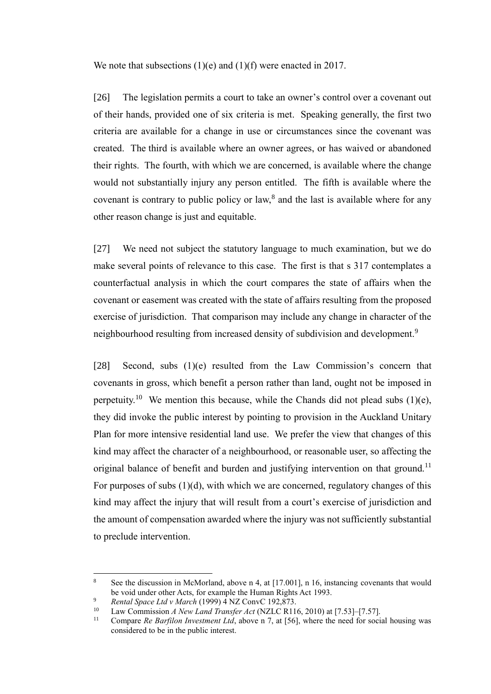We note that subsections (1)(e) and (1)(f) were enacted in 2017.

[26] The legislation permits a court to take an owner's control over a covenant out of their hands, provided one of six criteria is met. Speaking generally, the first two criteria are available for a change in use or circumstances since the covenant was created. The third is available where an owner agrees, or has waived or abandoned their rights. The fourth, with which we are concerned, is available where the change would not substantially injury any person entitled. The fifth is available where the covenant is contrary to public policy or law, $<sup>8</sup>$  and the last is available where for any</sup> other reason change is just and equitable.

[27] We need not subject the statutory language to much examination, but we do make several points of relevance to this case. The first is that s 317 contemplates a counterfactual analysis in which the court compares the state of affairs when the covenant or easement was created with the state of affairs resulting from the proposed exercise of jurisdiction. That comparison may include any change in character of the neighbourhood resulting from increased density of subdivision and development.<sup>9</sup>

[28] Second, subs (1)(e) resulted from the Law Commission's concern that covenants in gross, which benefit a person rather than land, ought not be imposed in perpetuity.<sup>10</sup> We mention this because, while the Chands did not plead subs  $(1)(e)$ , they did invoke the public interest by pointing to provision in the Auckland Unitary Plan for more intensive residential land use. We prefer the view that changes of this kind may affect the character of a neighbourhood, or reasonable user, so affecting the original balance of benefit and burden and justifying intervention on that ground.<sup>11</sup> For purposes of subs (1)(d), with which we are concerned, regulatory changes of this kind may affect the injury that will result from a court's exercise of jurisdiction and the amount of compensation awarded where the injury was not sufficiently substantial to preclude intervention.

See the discussion in McMorland, above n 4, at  $[17.001]$ , n 16, instancing covenants that would be void under other Acts, for example the Human Rights Act 1993.

<sup>9</sup> *Rental Space Ltd v March* (1999) 4 NZ ConvC 192,873.

<sup>10</sup> Law Commission *A New Land Transfer Act* (NZLC R116, 2010) at [7.53]–[7.57].

Compare *Re Barfilon Investment Ltd*, above n 7, at [56], where the need for social housing was considered to be in the public interest.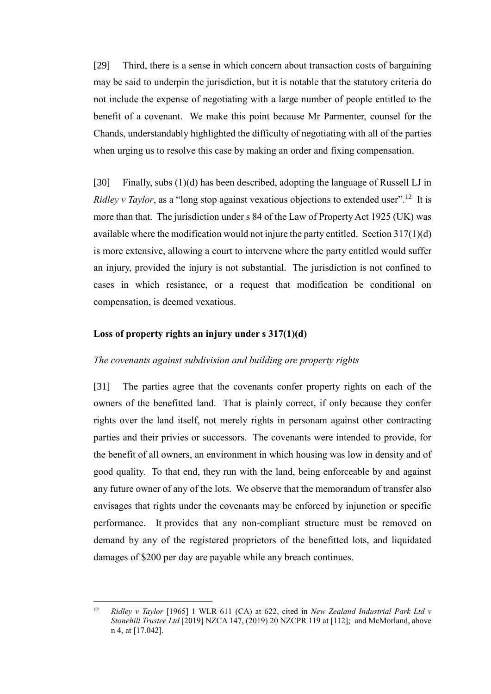[29] Third, there is a sense in which concern about transaction costs of bargaining may be said to underpin the jurisdiction, but it is notable that the statutory criteria do not include the expense of negotiating with a large number of people entitled to the benefit of a covenant. We make this point because Mr Parmenter, counsel for the Chands, understandably highlighted the difficulty of negotiating with all of the parties when urging us to resolve this case by making an order and fixing compensation.

[30] Finally, subs (1)(d) has been described, adopting the language of Russell LJ in *Ridley v Taylor*, as a "long stop against vexatious objections to extended user".<sup>12</sup> It is more than that. The jurisdiction under s 84 of the Law of Property Act 1925 (UK) was available where the modification would not injure the party entitled. Section 317(1)(d) is more extensive, allowing a court to intervene where the party entitled would suffer an injury, provided the injury is not substantial. The jurisdiction is not confined to cases in which resistance, or a request that modification be conditional on compensation, is deemed vexatious.

#### **Loss of property rights an injury under s 317(1)(d)**

#### *The covenants against subdivision and building are property rights*

<span id="page-12-0"></span>[31] The parties agree that the covenants confer property rights on each of the owners of the benefitted land. That is plainly correct, if only because they confer rights over the land itself, not merely rights in personam against other contracting parties and their privies or successors. The covenants were intended to provide, for the benefit of all owners, an environment in which housing was low in density and of good quality. To that end, they run with the land, being enforceable by and against any future owner of any of the lots. We observe that the memorandum of transfer also envisages that rights under the covenants may be enforced by injunction or specific performance. It provides that any non-compliant structure must be removed on demand by any of the registered proprietors of the benefitted lots, and liquidated damages of \$200 per day are payable while any breach continues.

 $12$ <sup>12</sup> *Ridley v Taylor* [1965] 1 WLR 611 (CA) at 622, cited in *New Zealand Industrial Park Ltd v Stonehill Trustee Ltd* [2019] NZCA 147, (2019) 20 NZCPR 119 at [112]; and McMorland, above n 4, at [17.042].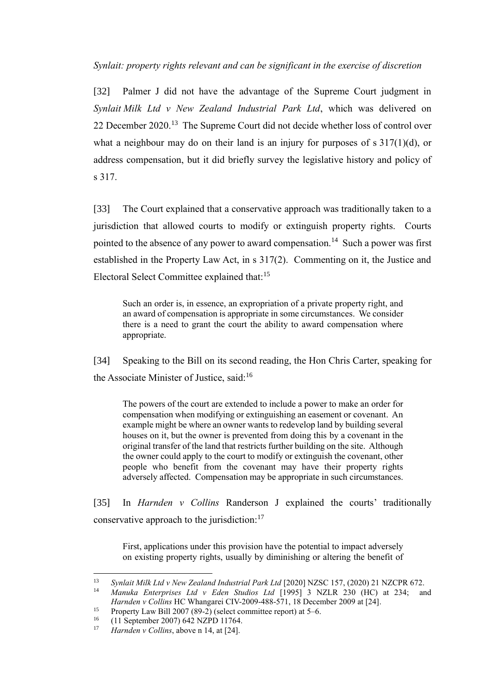*Synlait: property rights relevant and can be significant in the exercise of discretion*

<span id="page-13-0"></span>[32] Palmer J did not have the advantage of the Supreme Court judgment in *Synlait Milk Ltd v New Zealand Industrial Park Ltd*, which was delivered on 22 December 2020.<sup>13</sup> The Supreme Court did not decide whether loss of control over what a neighbour may do on their land is an injury for purposes of s  $317(1)(d)$ , or address compensation, but it did briefly survey the legislative history and policy of s 317.

[33] The Court explained that a conservative approach was traditionally taken to a jurisdiction that allowed courts to modify or extinguish property rights. Courts pointed to the absence of any power to award compensation.<sup>14</sup> Such a power was first established in the Property Law Act, in s 317(2). Commenting on it, the Justice and Electoral Select Committee explained that:<sup>15</sup>

Such an order is, in essence, an expropriation of a private property right, and an award of compensation is appropriate in some circumstances. We consider there is a need to grant the court the ability to award compensation where appropriate.

[34] Speaking to the Bill on its second reading, the Hon Chris Carter, speaking for the Associate Minister of Justice, said:<sup>16</sup>

The powers of the court are extended to include a power to make an order for compensation when modifying or extinguishing an easement or covenant. An example might be where an owner wants to redevelop land by building several houses on it, but the owner is prevented from doing this by a covenant in the original transfer of the land that restricts further building on the site. Although the owner could apply to the court to modify or extinguish the covenant, other people who benefit from the covenant may have their property rights adversely affected. Compensation may be appropriate in such circumstances.

[35] In *Harnden v Collins* Randerson J explained the courts' traditionally conservative approach to the jurisdiction: $17$ 

First, applications under this provision have the potential to impact adversely on existing property rights, usually by diminishing or altering the benefit of

 $13$ <sup>13</sup> *Synlait Milk Ltd v New Zealand Industrial Park Ltd* [2020] NZSC 157, (2020) 21 NZCPR 672.

<sup>14</sup> *Manuka Enterprises Ltd v Eden Studios Ltd* [1995] 3 NZLR 230 (HC) at 234; and *Harnden v Collins* HC Whangarei CIV-2009-488-571, 18 December 2009 at [24].

<sup>&</sup>lt;sup>15</sup> Property Law Bill 2007 (89-2) (select committee report) at 5–6.<br><sup>16</sup> (11 September 2007) 642 NZPD 11764

<sup>&</sup>lt;sup>16</sup> (11 September 2007) 642 NZPD 11764.

*Harnden v Collins*, above n 14, at [24].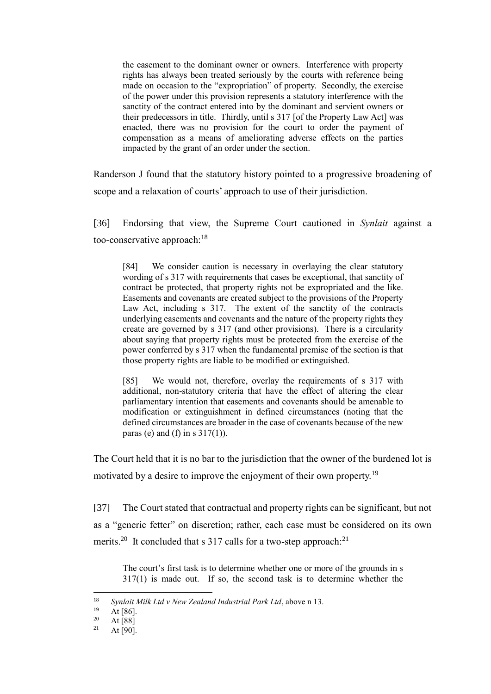the easement to the dominant owner or owners. Interference with property rights has always been treated seriously by the courts with reference being made on occasion to the "expropriation" of property. Secondly, the exercise of the power under this provision represents a statutory interference with the sanctity of the contract entered into by the dominant and servient owners or their predecessors in title. Thirdly, until s 317 [of the Property Law Act] was enacted, there was no provision for the court to order the payment of compensation as a means of ameliorating adverse effects on the parties impacted by the grant of an order under the section.

Randerson J found that the statutory history pointed to a progressive broadening of scope and a relaxation of courts' approach to use of their jurisdiction.

[36] Endorsing that view, the Supreme Court cautioned in *Synlait* against a too-conservative approach:<sup>18</sup>

[84] We consider caution is necessary in overlaying the clear statutory wording of s 317 with requirements that cases be exceptional, that sanctity of contract be protected, that property rights not be expropriated and the like. Easements and covenants are created subject to the provisions of the Property Law Act, including s 317. The extent of the sanctity of the contracts underlying easements and covenants and the nature of the property rights they create are governed by s 317 (and other provisions). There is a circularity about saying that property rights must be protected from the exercise of the power conferred by s 317 when the fundamental premise of the section is that those property rights are liable to be modified or extinguished.

[85] We would not, therefore, overlay the requirements of s 317 with additional, non-statutory criteria that have the effect of altering the clear parliamentary intention that easements and covenants should be amenable to modification or extinguishment in defined circumstances (noting that the defined circumstances are broader in the case of covenants because of the new paras (e) and (f) in s  $317(1)$ ).

The Court held that it is no bar to the jurisdiction that the owner of the burdened lot is motivated by a desire to improve the enjoyment of their own property.<sup>19</sup>

[37] The Court stated that contractual and property rights can be significant, but not as a "generic fetter" on discretion; rather, each case must be considered on its own merits.<sup>20</sup> It concluded that s 317 calls for a two-step approach:<sup>21</sup>

The court's first task is to determine whether one or more of the grounds in s 317(1) is made out. If so, the second task is to determine whether the

<sup>18</sup> *Synlait Milk Ltd v New Zealand Industrial Park Ltd*, above n 13.

 $19$  At [86].

 $\frac{20}{21}$  At [88]

At  $[90]$ .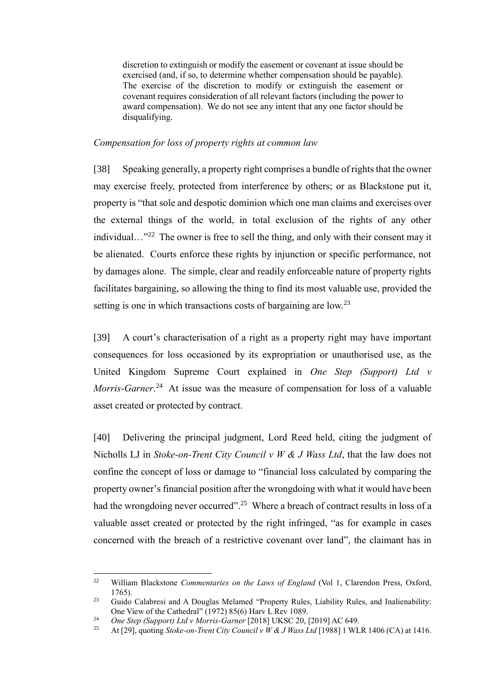discretion to extinguish or modify the easement or covenant at issue should be exercised (and, if so, to determine whether compensation should be payable). The exercise of the discretion to modify or extinguish the easement or covenant requires consideration of all relevant factors (including the power to award compensation). We do not see any intent that any one factor should be disqualifying.

#### *Compensation for loss of property rights at common law*

<span id="page-15-0"></span>[38] Speaking generally, a property right comprises a bundle of rights that the owner may exercise freely, protected from interference by others; or as Blackstone put it, property is "that sole and despotic dominion which one man claims and exercises over the external things of the world, in total exclusion of the rights of any other individual..."<sup>22</sup> The owner is free to sell the thing, and only with their consent may it be alienated. Courts enforce these rights by injunction or specific performance, not by damages alone. The simple, clear and readily enforceable nature of property rights facilitates bargaining, so allowing the thing to find its most valuable use, provided the setting is one in which transactions costs of bargaining are low.<sup>23</sup>

[39] A court's characterisation of a right as a property right may have important consequences for loss occasioned by its expropriation or unauthorised use, as the United Kingdom Supreme Court explained in *One Step (Support) Ltd v*  Morris-Garner.<sup>24</sup> At issue was the measure of compensation for loss of a valuable asset created or protected by contract.

[40] Delivering the principal judgment, Lord Reed held, citing the judgment of Nicholls LJ in *Stoke-on-Trent City Council v W & J Wass Ltd*, that the law does not confine the concept of loss or damage to "financial loss calculated by comparing the property owner's financial position after the wrongdoing with what it would have been had the wrongdoing never occurred".<sup>25</sup> Where a breach of contract results in loss of a valuable asset created or protected by the right infringed, "as for example in cases concerned with the breach of a restrictive covenant over land", the claimant has in

 $\frac{1}{22}$  William Blackstone *Commentaries on the Laws of England* (Vol 1, Clarendon Press, Oxford, 1765).

<sup>&</sup>lt;sup>23</sup> Guido Calabresi and A Douglas Melamed "Property Rules, Liability Rules, and Inalienability: One View of the Cathedral" (1972) 85(6) Harv L Rev 1089.

<sup>&</sup>lt;sup>24</sup> One Step (Support) Ltd v Morris-Garner [2018] UKSC 20, [2019] AC 649.

<sup>25</sup> At [29], quoting *Stoke-on-Trent City Council v W & J Wass Ltd* [1988] 1 WLR 1406 (CA) at 1416.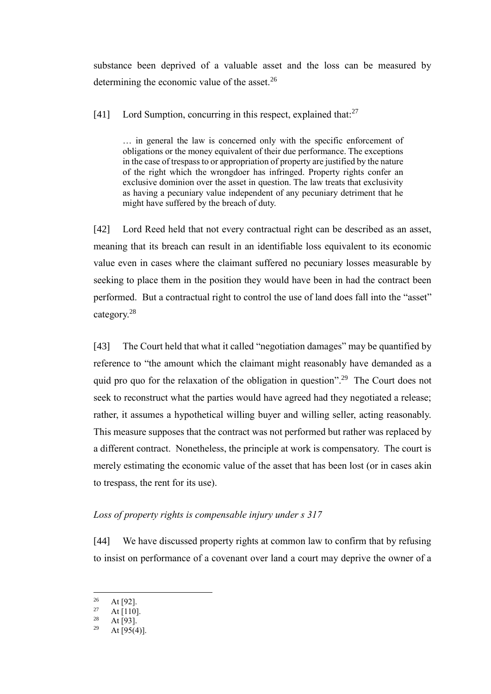substance been deprived of a valuable asset and the loss can be measured by determining the economic value of the asset.<sup>26</sup>

[41] Lord Sumption, concurring in this respect, explained that: $27$ 

… in general the law is concerned only with the specific enforcement of obligations or the money equivalent of their due performance. The exceptions in the case of trespass to or appropriation of property are justified by the nature of the right which the wrongdoer has infringed. Property rights confer an exclusive dominion over the asset in question. The law treats that exclusivity as having a pecuniary value independent of any pecuniary detriment that he might have suffered by the breach of duty.

[42] Lord Reed held that not every contractual right can be described as an asset, meaning that its breach can result in an identifiable loss equivalent to its economic value even in cases where the claimant suffered no pecuniary losses measurable by seeking to place them in the position they would have been in had the contract been performed. But a contractual right to control the use of land does fall into the "asset" category.<sup>28</sup>

[43] The Court held that what it called "negotiation damages" may be quantified by reference to "the amount which the claimant might reasonably have demanded as a quid pro quo for the relaxation of the obligation in question".<sup>29</sup> The Court does not seek to reconstruct what the parties would have agreed had they negotiated a release; rather, it assumes a hypothetical willing buyer and willing seller, acting reasonably. This measure supposes that the contract was not performed but rather was replaced by a different contract. Nonetheless, the principle at work is compensatory. The court is merely estimating the economic value of the asset that has been lost (or in cases akin to trespass, the rent for its use).

## *Loss of property rights is compensable injury under s 317*

<span id="page-16-0"></span>[44] We have discussed property rights at common law to confirm that by refusing to insist on performance of a covenant over land a court may deprive the owner of a

 $\frac{26}{27}$  At [92].

 $\frac{27}{28}$  At [110].

 $\frac{28}{29}$  At [93].

At  $[95(4)]$ .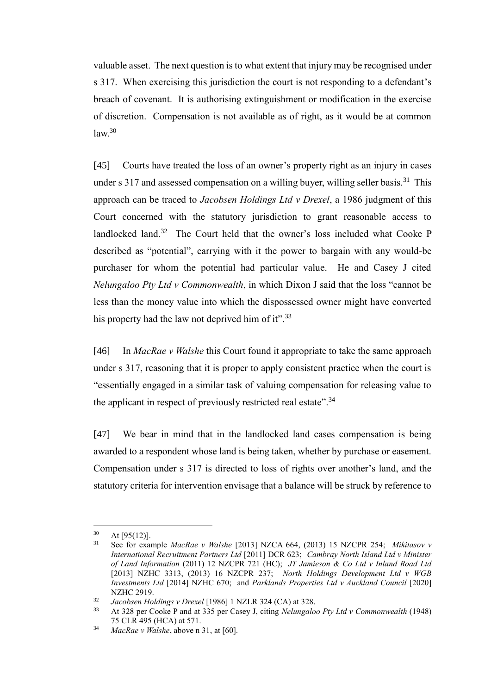valuable asset. The next question is to what extent that injury may be recognised under s 317. When exercising this jurisdiction the court is not responding to a defendant's breach of covenant. It is authorising extinguishment or modification in the exercise of discretion. Compensation is not available as of right, as it would be at common  $law<sup>30</sup>$ 

[45] Courts have treated the loss of an owner's property right as an injury in cases under s 317 and assessed compensation on a willing buyer, willing seller basis.<sup>31</sup> This approach can be traced to *Jacobsen Holdings Ltd v Drexel*, a 1986 judgment of this Court concerned with the statutory jurisdiction to grant reasonable access to landlocked land.<sup>32</sup> The Court held that the owner's loss included what Cooke P described as "potential", carrying with it the power to bargain with any would-be purchaser for whom the potential had particular value. He and Casey J cited *Nelungaloo Pty Ltd v Commonwealth*, in which Dixon J said that the loss "cannot be less than the money value into which the dispossessed owner might have converted his property had the law not deprived him of it".<sup>33</sup>

[46] In *MacRae v Walshe* this Court found it appropriate to take the same approach under s 317, reasoning that it is proper to apply consistent practice when the court is "essentially engaged in a similar task of valuing compensation for releasing value to the applicant in respect of previously restricted real estate".<sup>34</sup>

[47] We bear in mind that in the landlocked land cases compensation is being awarded to a respondent whose land is being taken, whether by purchase or easement. Compensation under s 317 is directed to loss of rights over another's land, and the statutory criteria for intervention envisage that a balance will be struck by reference to

 $30$  At [95(12)].

<sup>31</sup> See for example *MacRae v Walshe* [2013] NZCA 664, (2013) 15 NZCPR 254; *Mikitasov v International Recruitment Partners Ltd* [2011] DCR 623; *Cambray North Island Ltd v Minister of Land Information* (2011) 12 NZCPR 721 (HC); *JT Jamieson & Co Ltd v Inland Road Ltd*  [2013] NZHC 3313, (2013) 16 NZCPR 237; *North Holdings Development Ltd v WGB Investments Ltd* [2014] NZHC 670; and *Parklands Properties Ltd v Auckland Council* [2020] NZHC 2919.

<sup>32</sup> *Jacobsen Holdings v Drexel* [1986] 1 NZLR 324 (CA) at 328.

<sup>33</sup> At 328 per Cooke P and at 335 per Casey J, citing *Nelungaloo Pty Ltd v Commonwealth* (1948) 75 CLR 495 (HCA) at 571.

<sup>34</sup> *MacRae v Walshe*, above n 31, at [60].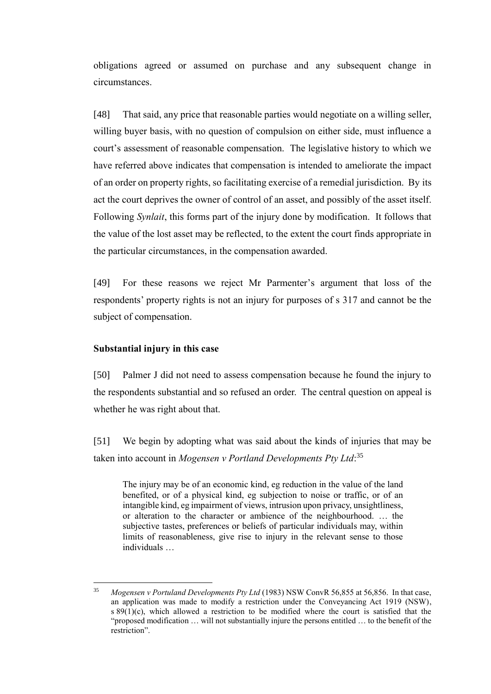obligations agreed or assumed on purchase and any subsequent change in circumstances.

[48] That said, any price that reasonable parties would negotiate on a willing seller, willing buyer basis, with no question of compulsion on either side, must influence a court's assessment of reasonable compensation. The legislative history to which we have referred above indicates that compensation is intended to ameliorate the impact of an order on property rights, so facilitating exercise of a remedial jurisdiction. By its act the court deprives the owner of control of an asset, and possibly of the asset itself. Following *Synlait*, this forms part of the injury done by modification. It follows that the value of the lost asset may be reflected, to the extent the court finds appropriate in the particular circumstances, in the compensation awarded.

[49] For these reasons we reject Mr Parmenter's argument that loss of the respondents' property rights is not an injury for purposes of s 317 and cannot be the subject of compensation.

### **Substantial injury in this case**

<span id="page-18-0"></span>[50] Palmer J did not need to assess compensation because he found the injury to the respondents substantial and so refused an order. The central question on appeal is whether he was right about that.

[51] We begin by adopting what was said about the kinds of injuries that may be taken into account in *Mogensen v Portland Developments Pty Ltd*: 35

The injury may be of an economic kind, eg reduction in the value of the land benefited, or of a physical kind, eg subjection to noise or traffic, or of an intangible kind, eg impairment of views, intrusion upon privacy, unsightliness, or alteration to the character or ambience of the neighbourhood. … the subjective tastes, preferences or beliefs of particular individuals may, within limits of reasonableness, give rise to injury in the relevant sense to those individuals …

 $35$ <sup>35</sup> *Mogensen v Portuland Developments Pty Ltd* (1983) NSW ConvR 56,855 at 56,856. In that case, an application was made to modify a restriction under the Conveyancing Act 1919 (NSW), s  $89(1)(c)$ , which allowed a restriction to be modified where the court is satisfied that the "proposed modification … will not substantially injure the persons entitled … to the benefit of the restriction".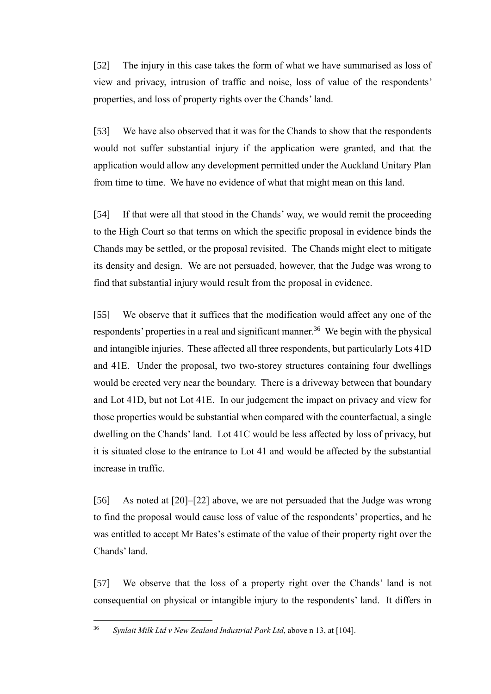[52] The injury in this case takes the form of what we have summarised as loss of view and privacy, intrusion of traffic and noise, loss of value of the respondents' properties, and loss of property rights over the Chands' land.

[53] We have also observed that it was for the Chands to show that the respondents would not suffer substantial injury if the application were granted, and that the application would allow any development permitted under the Auckland Unitary Plan from time to time. We have no evidence of what that might mean on this land.

[54] If that were all that stood in the Chands' way, we would remit the proceeding to the High Court so that terms on which the specific proposal in evidence binds the Chands may be settled, or the proposal revisited. The Chands might elect to mitigate its density and design. We are not persuaded, however, that the Judge was wrong to find that substantial injury would result from the proposal in evidence.

[55] We observe that it suffices that the modification would affect any one of the respondents' properties in a real and significant manner.<sup>36</sup> We begin with the physical and intangible injuries. These affected all three respondents, but particularly Lots 41D and 41E. Under the proposal, two two-storey structures containing four dwellings would be erected very near the boundary. There is a driveway between that boundary and Lot 41D, but not Lot 41E. In our judgement the impact on privacy and view for those properties would be substantial when compared with the counterfactual, a single dwelling on the Chands' land. Lot 41C would be less affected by loss of privacy, but it is situated close to the entrance to Lot 41 and would be affected by the substantial increase in traffic.

[56] As noted at [20]–[22] above, we are not persuaded that the Judge was wrong to find the proposal would cause loss of value of the respondents' properties, and he was entitled to accept Mr Bates's estimate of the value of their property right over the Chands' land.

[57] We observe that the loss of a property right over the Chands' land is not consequential on physical or intangible injury to the respondents' land. It differs in

<sup>36</sup> *Synlait Milk Ltd v New Zealand Industrial Park Ltd*, above n 13, at [104].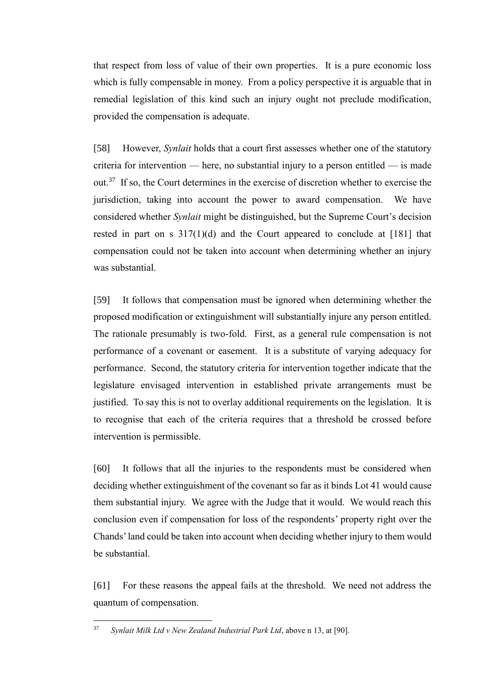that respect from loss of value of their own properties. It is a pure economic loss which is fully compensable in money. From a policy perspective it is arguable that in remedial legislation of this kind such an injury ought not preclude modification, provided the compensation is adequate.

[58] However, *Synlait* holds that a court first assesses whether one of the statutory criteria for intervention — here, no substantial injury to a person entitled — is made out.<sup>37</sup> If so, the Court determines in the exercise of discretion whether to exercise the jurisdiction, taking into account the power to award compensation. We have considered whether *Synlait* might be distinguished, but the Supreme Court's decision rested in part on s  $317(1)(d)$  and the Court appeared to conclude at [181] that compensation could not be taken into account when determining whether an injury was substantial.

[59] It follows that compensation must be ignored when determining whether the proposed modification or extinguishment will substantially injure any person entitled. The rationale presumably is two-fold. First, as a general rule compensation is not performance of a covenant or easement. It is a substitute of varying adequacy for performance. Second, the statutory criteria for intervention together indicate that the legislature envisaged intervention in established private arrangements must be justified. To say this is not to overlay additional requirements on the legislation. It is to recognise that each of the criteria requires that a threshold be crossed before intervention is permissible.

[60] It follows that all the injuries to the respondents must be considered when deciding whether extinguishment of the covenant so far as it binds Lot 41 would cause them substantial injury. We agree with the Judge that it would. We would reach this conclusion even if compensation for loss of the respondents' property right over the Chands' land could be taken into account when deciding whether injury to them would be substantial.

[61] For these reasons the appeal fails at the threshold. We need not address the quantum of compensation.

<sup>37</sup> *Synlait Milk Ltd v New Zealand Industrial Park Ltd*, above n 13, at [90].